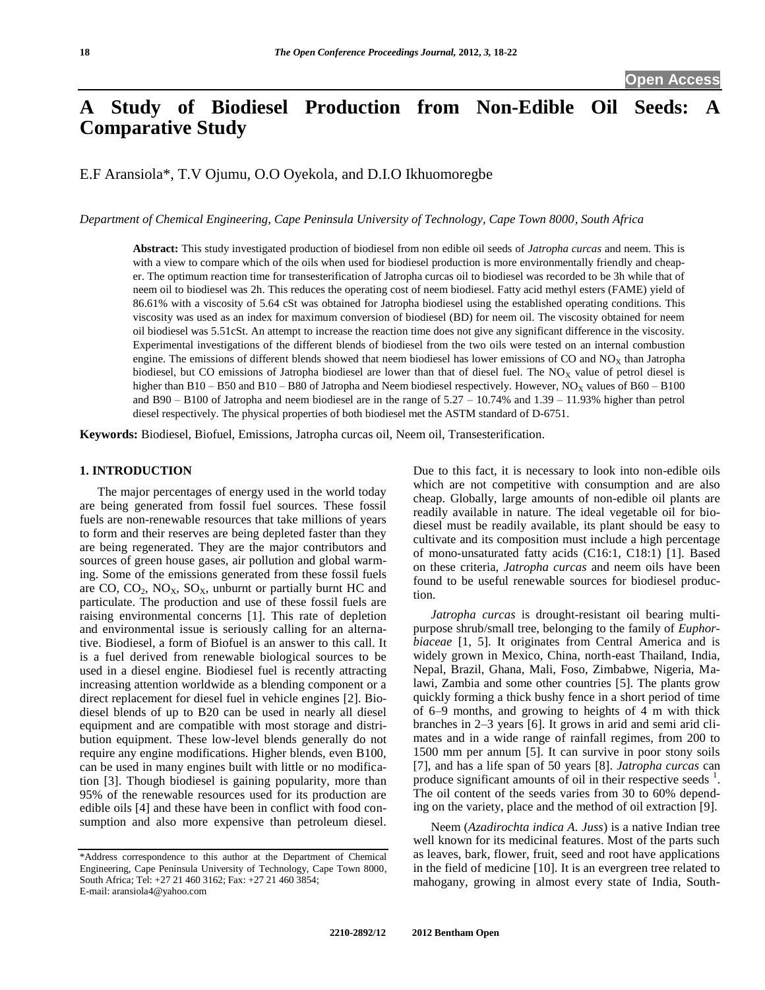# A Study of Biodiesel Production from Non-Edible Oil Seeds: **Comparative Study**

E.F Aransiola\*, T.V Ojumu, O.O Oyekola, and D.I.O Ikhuomoregbe

*Department of Chemical Engineering, Cape Peninsula University of Technology, Cape Town 8000, South Africa*

**Abstract:** This study investigated production of biodiesel from non edible oil seeds of *Jatropha curcas* and neem. This is with a view to compare which of the oils when used for biodiesel production is more environmentally friendly and cheaper. The optimum reaction time for transesterification of Jatropha curcas oil to biodiesel was recorded to be 3h while that of neem oil to biodiesel was 2h. This reduces the operating cost of neem biodiesel. Fatty acid methyl esters (FAME) yield of 86.61% with a viscosity of 5.64 cSt was obtained for Jatropha biodiesel using the established operating conditions. This viscosity was used as an index for maximum conversion of biodiesel (BD) for neem oil. The viscosity obtained for neem oil biodiesel was 5.51cSt. An attempt to increase the reaction time does not give any significant difference in the viscosity. Experimental investigations of the different blends of biodiesel from the two oils were tested on an internal combustion engine. The emissions of different blends showed that neem biodiesel has lower emissions of CO and  $NO<sub>X</sub>$  than Jatropha biodiesel, but CO emissions of Jatropha biodiesel are lower than that of diesel fuel. The  $NO<sub>x</sub>$  value of petrol diesel is higher than  $B10 - B50$  and  $B10 - B80$  of Jatropha and Neem biodiesel respectively. However,  $NO<sub>X</sub>$  values of  $B60 - B100$ and B90 – B100 of Jatropha and neem biodiesel are in the range of  $5.27 - 10.74\%$  and  $1.39 - 11.93\%$  higher than petrol diesel respectively. The physical properties of both biodiesel met the ASTM standard of D-6751.

**Keywords:** Biodiesel, Biofuel, Emissions, Jatropha curcas oil, Neem oil, Transesterification.

# **1. INTRODUCTION**

The major percentages of energy used in the world today are being generated from fossil fuel sources. These fossil fuels are non-renewable resources that take millions of years to form and their reserves are being depleted faster than they are being regenerated. They are the major contributors and sources of green house gases, air pollution and global warming. Some of the emissions generated from these fossil fuels are CO,  $CO_2$ ,  $NO_X$ ,  $SO_X$ , unburnt or partially burnt HC and particulate. The production and use of these fossil fuels are raising environmental concerns [1]. This rate of depletion and environmental issue is seriously calling for an alternative. Biodiesel, a form of Biofuel is an answer to this call. It is a fuel derived from renewable biological sources to be used in a diesel engine. Biodiesel fuel is recently attracting increasing attention worldwide as a blending component or a direct replacement for diesel fuel in vehicle engines [2]. Biodiesel blends of up to B20 can be used in nearly all diesel equipment and are compatible with most storage and distribution equipment. These low-level blends generally do not require any engine modifications. Higher blends, even B100, can be used in many engines built with little or no modification [3]. Though biodiesel is gaining popularity, more than 95% of the renewable resources used for its production are edible oils [4] and these have been in conflict with food consumption and also more expensive than petroleum diesel.

Due to this fact, it is necessary to look into non-edible oils which are not competitive with consumption and are also cheap. Globally, large amounts of non-edible oil plants are readily available in nature. The ideal vegetable oil for biodiesel must be readily available, its plant should be easy to cultivate and its composition must include a high percentage of mono-unsaturated fatty acids (C16:1, C18:1) [1]. Based on these criteria, *Jatropha curcas* and neem oils have been found to be useful renewable sources for biodiesel production.

*Jatropha curcas* is drought-resistant oil bearing multipurpose shrub/small tree, belonging to the family of *Euphorbiaceae* [1, 5]. It originates from Central America and is widely grown in Mexico, China, north-east Thailand, India, Nepal, Brazil, Ghana, Mali, Foso, Zimbabwe, Nigeria, Malawi, Zambia and some other countries [5]. The plants grow quickly forming a thick bushy fence in a short period of time of 6–9 months, and growing to heights of 4 m with thick branches in 2–3 years [6]. It grows in arid and semi arid climates and in a wide range of rainfall regimes, from 200 to 1500 mm per annum [5]. It can survive in poor stony soils [7], and has a life span of 50 years [8]. *Jatropha curcas* can produce significant amounts of oil in their respective seeds <sup>1</sup>. The oil content of the seeds varies from 30 to 60% depending on the variety, place and the method of oil extraction [9].

Neem (*Azadirochta indica A. Juss*) is a native Indian tree well known for its medicinal features. Most of the parts such as leaves, bark, flower, fruit, seed and root have applications in the field of medicine [10]. It is an evergreen tree related to mahogany, growing in almost every state of India, South-

<sup>\*</sup>Address correspondence to this author at the Department of Chemical Engineering, Cape Peninsula University of Technology, Cape Town 8000, South Africa; Tel: +27 21 460 3162; Fax: +27 21 460 3854; E-mail: aransiola4@yahoo.com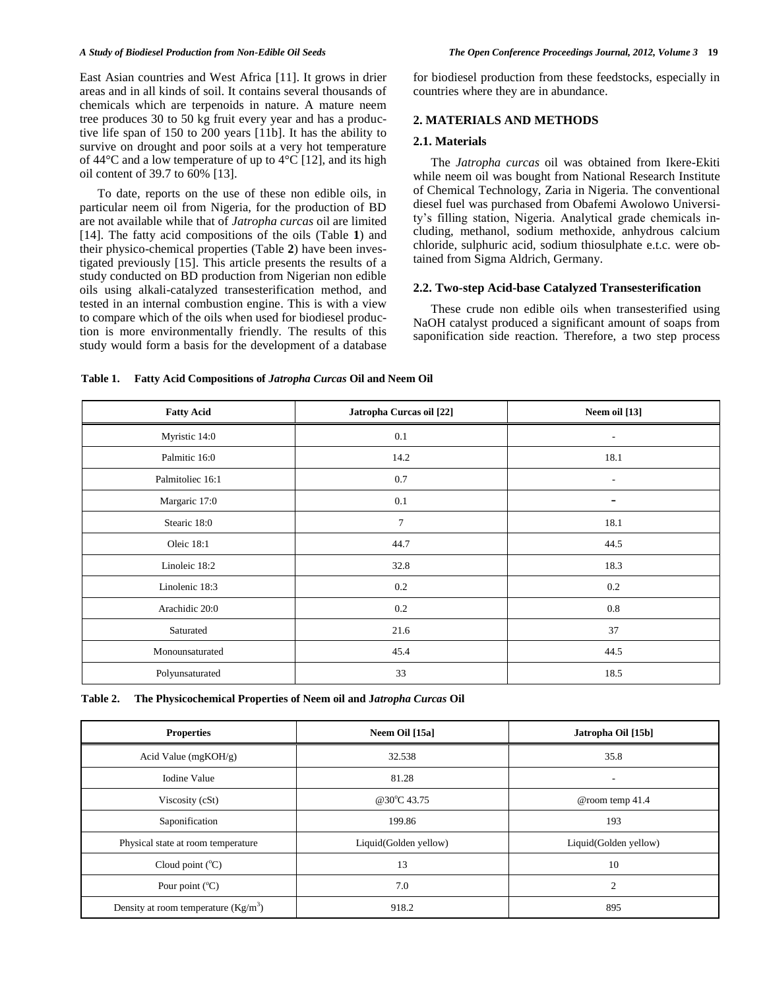East Asian countries and West Africa [11]. It grows in drier areas and in all kinds of soil. It contains several thousands of chemicals which are terpenoids in nature. A mature neem tree produces 30 to 50 kg fruit every year and has a productive life span of 150 to 200 years [11b]. It has the ability to survive on drought and poor soils at a very hot temperature of 44°C and a low temperature of up to 4°C [12], and its high oil content of 39.7 to 60% [13].

To date, reports on the use of these non edible oils, in particular neem oil from Nigeria, for the production of BD are not available while that of *Jatropha curcas* oil are limited [14]. The fatty acid compositions of the oils (Table **1**) and their physico-chemical properties (Table **2**) have been investigated previously [15]. This article presents the results of a study conducted on BD production from Nigerian non edible oils using alkali-catalyzed transesterification method, and tested in an internal combustion engine. This is with a view to compare which of the oils when used for biodiesel production is more environmentally friendly. The results of this study would form a basis for the development of a database for biodiesel production from these feedstocks, especially in countries where they are in abundance.

# **2. MATERIALS AND METHODS**

#### **2.1. Materials**

The *Jatropha curcas* oil was obtained from Ikere-Ekiti while neem oil was bought from National Research Institute of Chemical Technology, Zaria in Nigeria. The conventional diesel fuel was purchased from Obafemi Awolowo University's filling station, Nigeria. Analytical grade chemicals including, methanol, sodium methoxide, anhydrous calcium chloride, sulphuric acid, sodium thiosulphate e.t.c. were obtained from Sigma Aldrich, Germany.

#### **2.2. Two-step Acid-base Catalyzed Transesterification**

These crude non edible oils when transesterified using NaOH catalyst produced a significant amount of soaps from saponification side reaction. Therefore, a two step process

| <b>Fatty Acid</b> | Jatropha Curcas oil [22] | Neem oil [13]            |  |  |  |
|-------------------|--------------------------|--------------------------|--|--|--|
| Myristic 14:0     | 0.1                      | $\overline{\phantom{a}}$ |  |  |  |
| Palmitic 16:0     | 14.2                     | 18.1                     |  |  |  |
| Palmitoliec 16:1  | 0.7                      | $\overline{\phantom{a}}$ |  |  |  |
| Margaric 17:0     | 0.1                      | -                        |  |  |  |
| Stearic 18:0      | 7                        | 18.1                     |  |  |  |
| Oleic 18:1        | 44.7                     | 44.5                     |  |  |  |
| Linoleic 18:2     | 32.8                     | 18.3                     |  |  |  |
| Linolenic 18:3    | $0.2\,$                  | 0.2                      |  |  |  |
| Arachidic 20:0    | $0.2\,$                  | 0.8                      |  |  |  |
| Saturated         | 21.6                     | 37                       |  |  |  |
| Monounsaturated   | 45.4                     | 44.5                     |  |  |  |
| Polyunsaturated   | 33                       | 18.5                     |  |  |  |

**Table 1. Fatty Acid Compositions of** *Jatropha Curcas* **Oil and Neem Oil**

**Table 2. The Physicochemical Properties of Neem oil and J***atropha Curcas* **Oil**

| <b>Properties</b>                     | Neem Oil [15a]                                 | Jatropha Oil [15b] |  |
|---------------------------------------|------------------------------------------------|--------------------|--|
| Acid Value $(mgKOH/g)$                | 32.538<br>35.8                                 |                    |  |
| <b>Iodine Value</b>                   | 81.28<br>$\overline{\phantom{a}}$              |                    |  |
| Viscosity (cSt)                       | @30°C 43.75                                    | @room temp 41.4    |  |
| Saponification                        | 193<br>199.86                                  |                    |  |
| Physical state at room temperature    | Liquid(Golden yellow)<br>Liquid(Golden yellow) |                    |  |
| Cloud point $(^{\circ}C)$             | 13                                             | 10                 |  |
| Pour point $(^{\circ}C)$              | 7.0<br>$\overline{2}$                          |                    |  |
| Density at room temperature $(Kg/m3)$ | 918.2                                          | 895                |  |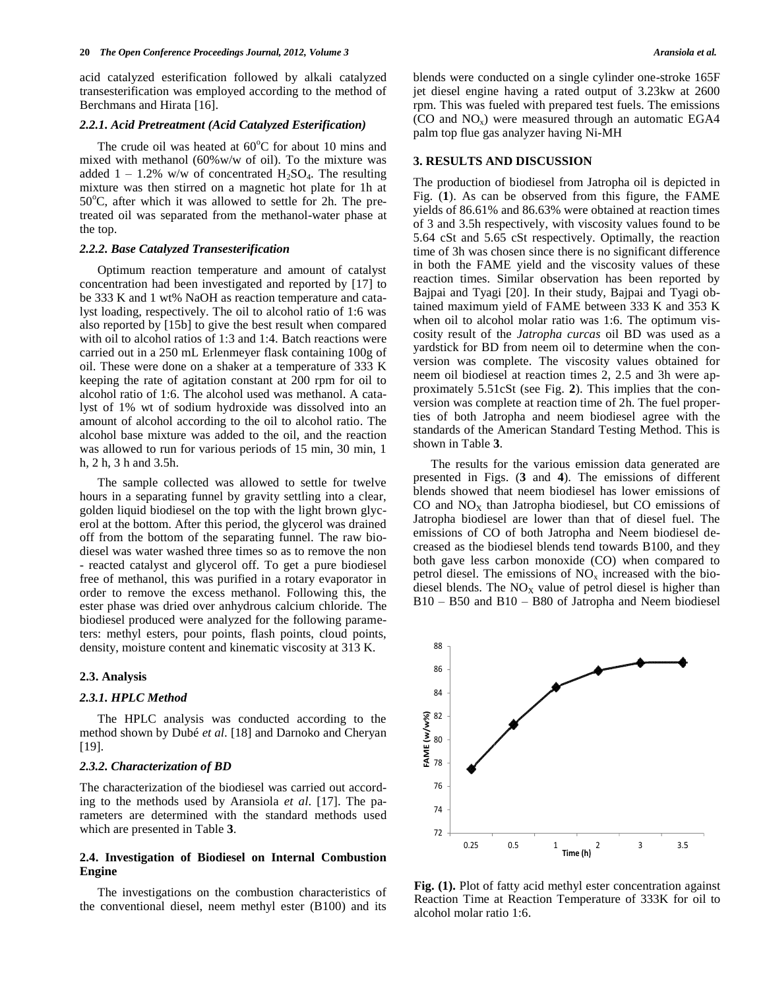acid catalyzed esterification followed by alkali catalyzed transesterification was employed according to the method of Berchmans and Hirata [16].

#### *2.2.1. Acid Pretreatment (Acid Catalyzed Esterification)*

The crude oil was heated at  $60^{\circ}$ C for about 10 mins and mixed with methanol (60%w/w of oil). To the mixture was added  $1 - 1.2\%$  w/w of concentrated H<sub>2</sub>SO<sub>4</sub>. The resulting mixture was then stirred on a magnetic hot plate for 1h at  $50^{\circ}$ C, after which it was allowed to settle for 2h. The pretreated oil was separated from the methanol-water phase at the top.

#### *2.2.2. Base Catalyzed Transesterification*

 Optimum reaction temperature and amount of catalyst concentration had been investigated and reported by [17] to be 333 K and 1 wt% NaOH as reaction temperature and catalyst loading, respectively. The oil to alcohol ratio of 1:6 was also reported by [15b] to give the best result when compared with oil to alcohol ratios of 1:3 and 1:4. Batch reactions were carried out in a 250 mL Erlenmeyer flask containing 100g of oil. These were done on a shaker at a temperature of 333 K keeping the rate of agitation constant at 200 rpm for oil to alcohol ratio of 1:6. The alcohol used was methanol. A catalyst of 1% wt of sodium hydroxide was dissolved into an amount of alcohol according to the oil to alcohol ratio. The alcohol base mixture was added to the oil, and the reaction was allowed to run for various periods of 15 min, 30 min, 1 h, 2 h, 3 h and 3.5h.

 The sample collected was allowed to settle for twelve hours in a separating funnel by gravity settling into a clear, golden liquid biodiesel on the top with the light brown glycerol at the bottom. After this period, the glycerol was drained off from the bottom of the separating funnel. The raw biodiesel was water washed three times so as to remove the non - reacted catalyst and glycerol off. To get a pure biodiesel free of methanol, this was purified in a rotary evaporator in order to remove the excess methanol. Following this, the ester phase was dried over anhydrous calcium chloride. The biodiesel produced were analyzed for the following parameters: methyl esters, pour points, flash points, cloud points, density, moisture content and kinematic viscosity at 313 K.

# **2.3. Analysis**

#### *2.3.1. HPLC Method*

 The HPLC analysis was conducted according to the method shown by Dubé *et al*. [18] and Darnoko and Cheryan [19].

#### *2.3.2. Characterization of BD*

The characterization of the biodiesel was carried out according to the methods used by Aransiola *et al*. [17]. The parameters are determined with the standard methods used which are presented in Table **3**.

# **2.4. Investigation of Biodiesel on Internal Combustion Engine**

 The investigations on the combustion characteristics of the conventional diesel, neem methyl ester (B100) and its

blends were conducted on a single cylinder one-stroke 165F jet diesel engine having a rated output of 3.23kw at 2600 rpm. This was fueled with prepared test fuels. The emissions (CO and  $NO<sub>x</sub>$ ) were measured through an automatic EGA4 palm top flue gas analyzer having Ni-MH

# **3. RESULTS AND DISCUSSION**

The production of biodiesel from Jatropha oil is depicted in Fig. (**1**). As can be observed from this figure, the FAME yields of 86.61% and 86.63% were obtained at reaction times of 3 and 3.5h respectively, with viscosity values found to be 5.64 cSt and 5.65 cSt respectively. Optimally, the reaction time of 3h was chosen since there is no significant difference in both the FAME yield and the viscosity values of these reaction times. Similar observation has been reported by Bajpai and Tyagi [20]. In their study, Bajpai and Tyagi obtained maximum yield of FAME between 333 K and 353 K when oil to alcohol molar ratio was 1:6. The optimum viscosity result of the *Jatropha curcas* oil BD was used as a yardstick for BD from neem oil to determine when the conversion was complete. The viscosity values obtained for neem oil biodiesel at reaction times 2, 2.5 and 3h were approximately 5.51cSt (see Fig. **2**). This implies that the conversion was complete at reaction time of 2h. The fuel properties of both Jatropha and neem biodiesel agree with the standards of the American Standard Testing Method. This is shown in Table **3**.

 The results for the various emission data generated are presented in Figs. (**3** and **4**). The emissions of different blends showed that neem biodiesel has lower emissions of CO and  $NO<sub>X</sub>$  than Jatropha biodiesel, but CO emissions of Jatropha biodiesel are lower than that of diesel fuel. The emissions of CO of both Jatropha and Neem biodiesel decreased as the biodiesel blends tend towards B100, and they both gave less carbon monoxide (CO) when compared to petrol diesel. The emissions of  $NO<sub>x</sub>$  increased with the biodiesel blends. The  $NO<sub>X</sub>$  value of petrol diesel is higher than B10 – B50 and B10 – B80 of Jatropha and Neem biodiesel



**Fig. (1).** Plot of fatty acid methyl ester concentration against Reaction Time at Reaction Temperature of 333K for oil to alcohol molar ratio 1:6.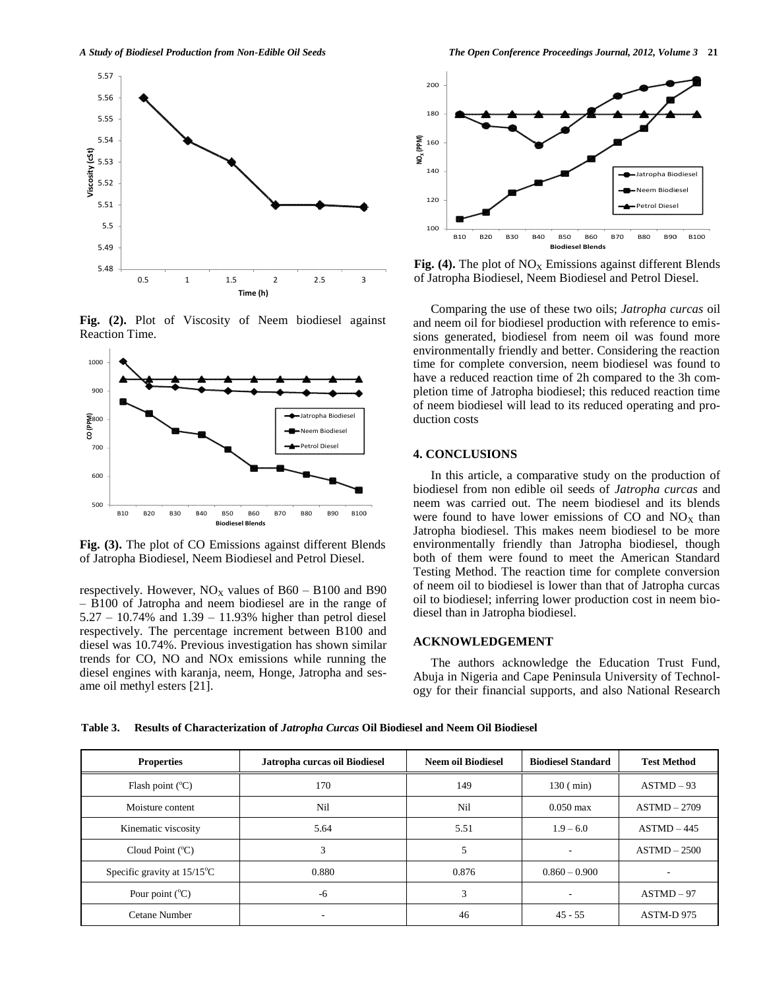

**Fig. (2).** Plot of Viscosity of Neem biodiesel against Reaction Time.



**Fig. (3).** The plot of CO Emissions against different Blends of Jatropha Biodiesel, Neem Biodiesel and Petrol Diesel.

respectively. However,  $NO<sub>x</sub>$  values of B60 – B100 and B90 – B100 of Jatropha and neem biodiesel are in the range of 5.27 – 10.74% and 1.39 – 11.93% higher than petrol diesel respectively. The percentage increment between B100 and diesel was 10.74%. Previous investigation has shown similar trends for CO, NO and NOx emissions while running the diesel engines with karanja, neem, Honge, Jatropha and sesame oil methyl esters [21].



**Fig. (4).** The plot of  $NO<sub>x</sub>$  Emissions against different Blends of Jatropha Biodiesel, Neem Biodiesel and Petrol Diesel.

 Comparing the use of these two oils; *Jatropha curcas* oil and neem oil for biodiesel production with reference to emissions generated, biodiesel from neem oil was found more environmentally friendly and better. Considering the reaction time for complete conversion, neem biodiesel was found to have a reduced reaction time of 2h compared to the 3h completion time of Jatropha biodiesel; this reduced reaction time of neem biodiesel will lead to its reduced operating and production costs

# **4. CONCLUSIONS**

 In this article, a comparative study on the production of biodiesel from non edible oil seeds of *Jatropha curcas* and neem was carried out. The neem biodiesel and its blends were found to have lower emissions of CO and  $NO<sub>x</sub>$  than Jatropha biodiesel. This makes neem biodiesel to be more environmentally friendly than Jatropha biodiesel, though both of them were found to meet the American Standard Testing Method. The reaction time for complete conversion of neem oil to biodiesel is lower than that of Jatropha curcas oil to biodiesel; inferring lower production cost in neem biodiesel than in Jatropha biodiesel.

### **ACKNOWLEDGEMENT**

 The authors acknowledge the Education Trust Fund, Abuja in Nigeria and Cape Peninsula University of Technology for their financial supports, and also National Research

**Table 3. Results of Characterization of** *Jatropha Curcas* **Oil Biodiesel and Neem Oil Biodiesel**

| <b>Properties</b>                     | Jatropha curcas oil Biodiesel | Neem oil Biodiesel | <b>Biodiesel Standard</b> | <b>Test Method</b> |
|---------------------------------------|-------------------------------|--------------------|---------------------------|--------------------|
| Flash point $(^{\circ}C)$             | 170                           | 149                | $130$ ( $min$ )           | $ASTMD-93$         |
| Moisture content                      | Nil                           | Nil                | $0.050 \text{ max}$       | $ASTMD-2709$       |
| Kinematic viscosity                   | 5.64                          | 5.51               | $1.9 - 6.0$               | $ASTMD-445$        |
| Cloud Point $(^{\circ}C)$             | 3                             | 5                  | -                         | $ASTMD-2500$       |
| Specific gravity at $15/15^{\circ}$ C | 0.880                         | 0.876              | $0.860 - 0.900$           |                    |
| Pour point $(^{\circ}C)$              | $-6$                          | 3                  | ۰                         | $ASTMD-97$         |
| Cetane Number                         | ۰                             | 46                 | $45 - 55$                 | ASTM-D 975         |